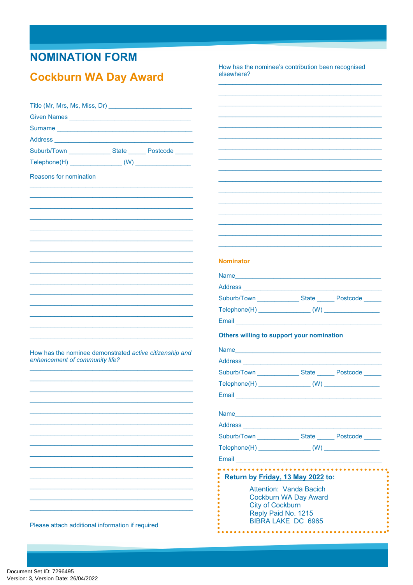## **NOMINATION FORM**

### **Cockburn WA Day Award**

How has the nominee's contribution been recognised elsewhere?

| Given Names                                                                                                                                                                                                                    |                                                                                                                                                                                                                                      |                                                  |  |
|--------------------------------------------------------------------------------------------------------------------------------------------------------------------------------------------------------------------------------|--------------------------------------------------------------------------------------------------------------------------------------------------------------------------------------------------------------------------------------|--------------------------------------------------|--|
|                                                                                                                                                                                                                                |                                                                                                                                                                                                                                      |                                                  |  |
| Address and the contract of the contract of the contract of the contract of the contract of the contract of the contract of the contract of the contract of the contract of the contract of the contract of the contract of th |                                                                                                                                                                                                                                      |                                                  |  |
| Suburb/Town _________________State ________ Postcode ______                                                                                                                                                                    |                                                                                                                                                                                                                                      |                                                  |  |
|                                                                                                                                                                                                                                |                                                                                                                                                                                                                                      |                                                  |  |
| Reasons for nomination                                                                                                                                                                                                         |                                                                                                                                                                                                                                      |                                                  |  |
|                                                                                                                                                                                                                                |                                                                                                                                                                                                                                      |                                                  |  |
|                                                                                                                                                                                                                                |                                                                                                                                                                                                                                      |                                                  |  |
|                                                                                                                                                                                                                                |                                                                                                                                                                                                                                      |                                                  |  |
|                                                                                                                                                                                                                                |                                                                                                                                                                                                                                      |                                                  |  |
|                                                                                                                                                                                                                                |                                                                                                                                                                                                                                      |                                                  |  |
|                                                                                                                                                                                                                                |                                                                                                                                                                                                                                      |                                                  |  |
|                                                                                                                                                                                                                                | <b>Nominator</b>                                                                                                                                                                                                                     |                                                  |  |
|                                                                                                                                                                                                                                |                                                                                                                                                                                                                                      |                                                  |  |
|                                                                                                                                                                                                                                | Name and the contract of the contract of the contract of the contract of the contract of the contract of the contract of the contract of the contract of the contract of the contract of the contract of the contract of the c       |                                                  |  |
|                                                                                                                                                                                                                                |                                                                                                                                                                                                                                      |                                                  |  |
|                                                                                                                                                                                                                                | Suburb/Town _________________State ________ Postcode ______                                                                                                                                                                          |                                                  |  |
|                                                                                                                                                                                                                                |                                                                                                                                                                                                                                      |                                                  |  |
|                                                                                                                                                                                                                                |                                                                                                                                                                                                                                      |                                                  |  |
|                                                                                                                                                                                                                                | Others willing to support your nomination                                                                                                                                                                                            |                                                  |  |
| How has the nominee demonstrated active citizenship and<br>enhancement of community life?                                                                                                                                      |                                                                                                                                                                                                                                      |                                                  |  |
|                                                                                                                                                                                                                                |                                                                                                                                                                                                                                      |                                                  |  |
|                                                                                                                                                                                                                                |                                                                                                                                                                                                                                      |                                                  |  |
|                                                                                                                                                                                                                                |                                                                                                                                                                                                                                      |                                                  |  |
|                                                                                                                                                                                                                                | Email <b>Executive Contract Contract Contract Contract Contract Contract Contract Contract Contract Contract Contract Contract Contract Contract Contract Contract Contract Contract Contract Contract Contract Contract Contrac</b> |                                                  |  |
|                                                                                                                                                                                                                                |                                                                                                                                                                                                                                      |                                                  |  |
|                                                                                                                                                                                                                                |                                                                                                                                                                                                                                      |                                                  |  |
|                                                                                                                                                                                                                                |                                                                                                                                                                                                                                      |                                                  |  |
|                                                                                                                                                                                                                                | Suburb/Town ________________State _______ Postcode                                                                                                                                                                                   |                                                  |  |
|                                                                                                                                                                                                                                |                                                                                                                                                                                                                                      |                                                  |  |
|                                                                                                                                                                                                                                |                                                                                                                                                                                                                                      |                                                  |  |
|                                                                                                                                                                                                                                | Return by Friday, 13 May 2022 to:                                                                                                                                                                                                    |                                                  |  |
|                                                                                                                                                                                                                                | Attention: Vanda Bacich<br><b>Cockburn WA Day Award</b><br><b>City of Cockburn</b>                                                                                                                                                   |                                                  |  |
| Please attach additional information if required                                                                                                                                                                               |                                                                                                                                                                                                                                      | Reply Paid No. 1215<br><b>BIBRA LAKE DC 6965</b> |  |